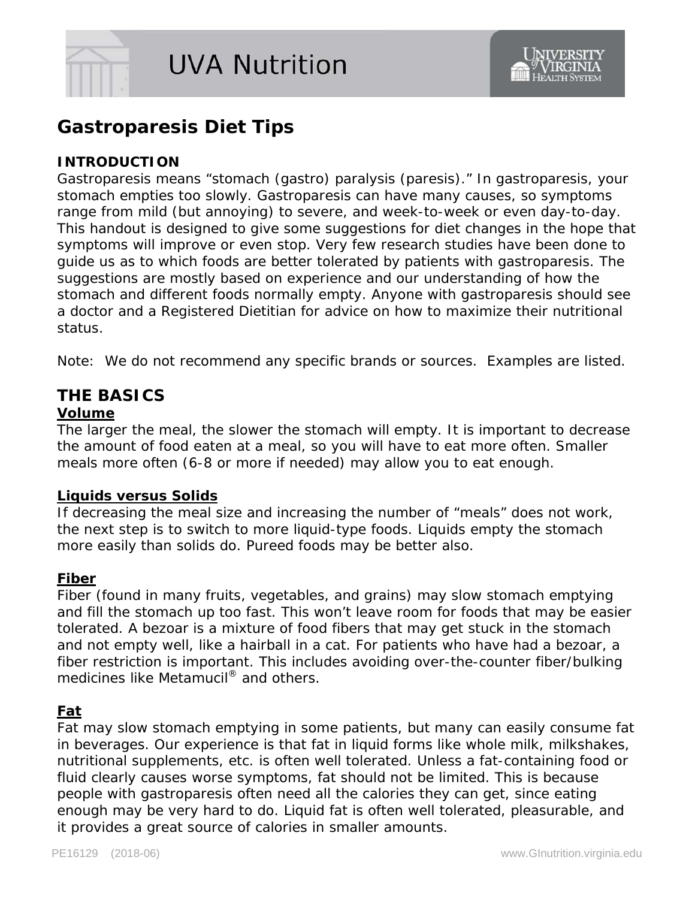

# **Gastroparesis Diet Tips**

#### **INTRODUCTION**

*Gastroparesis* means "stomach (*gastro*) paralysis (*paresis*)." In gastroparesis, your stomach empties too slowly. Gastroparesis can have many causes, so symptoms range from mild (but annoying) to severe, and week-to-week or even day-to-day. This handout is designed to give some suggestions for diet changes in the hope that symptoms will improve or even stop. Very few research studies have been done to guide us as to which foods are better tolerated by patients with gastroparesis. The suggestions are mostly based on experience and our understanding of how the stomach and different foods normally empty. Anyone with gastroparesis should see a doctor and a Registered Dietitian for advice on how to maximize their nutritional status.

Note: We do not recommend any specific brands or sources. Examples are listed.

# **THE BASICS**

#### **Volume**

The larger the meal, the slower the stomach will empty. It is important to decrease the amount of food eaten at a meal, so you will have to eat more often. Smaller meals more often (6-8 or more if needed) may allow you to eat enough.

#### **Liquids versus Solids**

If decreasing the meal size and increasing the number of "meals" does not work, the next step is to switch to more liquid-type foods. Liquids empty the stomach more easily than solids do. Pureed foods may be better also.

#### **Fiber**

Fiber (found in many fruits, vegetables, and grains) may slow stomach emptying and fill the stomach up too fast. This won't leave room for foods that may be easier tolerated. A *bezoar* is a mixture of food fibers that may get stuck in the stomach and not empty well, like a hairball in a cat. For patients who have had a bezoar, a fiber restriction is important. This includes avoiding over-the-counter fiber/bulking medicines like Metamucil<sup>®</sup> and others.

#### **Fat**

Fat may slow stomach emptying in some patients, but many can easily consume fat in beverages. Our experience is that fat in liquid forms like whole milk, milkshakes, nutritional supplements, etc. is often well tolerated. Unless a fat-containing food or fluid clearly causes worse symptoms, fat should not be limited. This is because people with gastroparesis often need all the calories they can get, since eating enough may be very hard to do. Liquid fat is often well tolerated, pleasurable, and it provides a great source of calories in smaller amounts.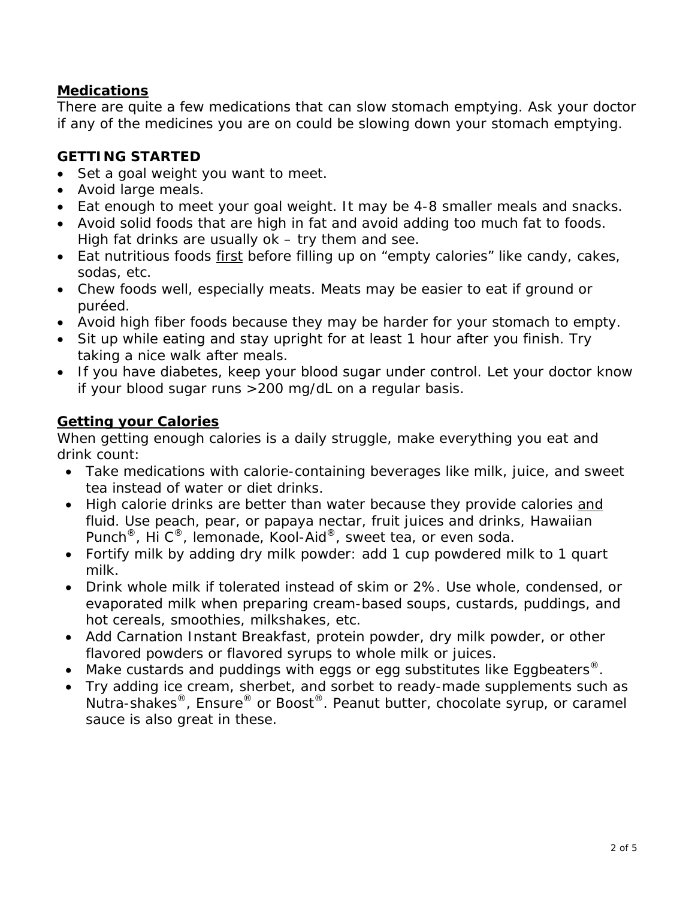## **Medications**

There are quite a few medications that can slow stomach emptying. Ask your doctor if any of the medicines you are on could be slowing down your stomach emptying.

## **GETTING STARTED**

- Set a goal weight you want to meet.
- Avoid large meals.
- Eat enough to meet your goal weight. It may be 4-8 smaller meals and snacks.
- Avoid solid foods that are high in fat and avoid adding too much fat to foods. High fat drinks are usually ok – try them and see.
- Eat nutritious foods first before filling up on "empty calories" like candy, cakes, sodas, etc.
- Chew foods well, especially meats. Meats may be easier to eat if ground or puréed.
- Avoid high fiber foods because they may be harder for your stomach to empty.
- Sit up while eating and stay upright for at least 1 hour after you finish. Try taking a nice walk after meals.
- If you have diabetes, keep your blood sugar under control. Let your doctor know if your blood sugar runs >200 mg/dL on a regular basis.

## **Getting your Calories**

When getting enough calories is a daily struggle, make everything you eat and drink count:

- Take medications with calorie-containing beverages like milk, juice, and sweet tea instead of water or diet drinks.
- High calorie drinks are better than water because they provide calories and fluid. Use peach, pear, or papaya nectar, fruit juices and drinks, Hawaiian Punch<sup>®</sup>, Hi C<sup>®</sup>, lemonade, Kool-Aid<sup>®</sup>, sweet tea, or even soda.
- Fortify milk by adding dry milk powder: add 1 cup powdered milk to 1 quart milk.
- Drink whole milk if tolerated instead of skim or 2%. Use whole, condensed, or evaporated milk when preparing cream-based soups, custards, puddings, and hot cereals, smoothies, milkshakes, etc.
- Add Carnation Instant Breakfast, protein powder, dry milk powder, or other flavored powders or flavored syrups to whole milk or juices.
- Make custards and puddings with eggs or egg substitutes like Eggbeaters<sup>®</sup>.
- Try adding ice cream, sherbet, and sorbet to ready-made supplements such as Nutra-shakes®, Ensure® or Boost®. Peanut butter, chocolate syrup, or caramel sauce is also great in these.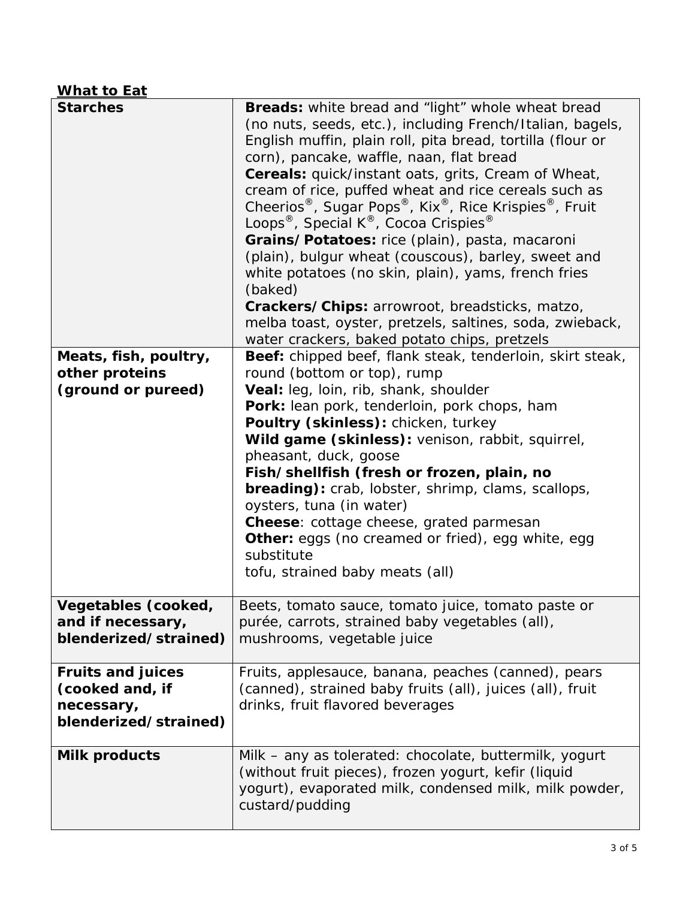# **What to Eat**

| <b>Starches</b>          | <b>Breads:</b> white bread and "light" whole wheat bread<br>(no nuts, seeds, etc.), including French/Italian, bagels,<br>English muffin, plain roll, pita bread, tortilla (flour or<br>corn), pancake, waffle, naan, flat bread<br>Cereals: quick/instant oats, grits, Cream of Wheat,<br>cream of rice, puffed wheat and rice cereals such as<br>Cheerios <sup>®</sup> , Sugar Pops <sup>®</sup> , Kix <sup>®</sup> , Rice Krispies <sup>®</sup> , Fruit<br>Loops®, Special K®, Cocoa Crispies®<br>Grains/Potatoes: rice (plain), pasta, macaroni<br>(plain), bulgur wheat (couscous), barley, sweet and<br>white potatoes (no skin, plain), yams, french fries<br>(baked)<br>Crackers/Chips: arrowroot, breadsticks, matzo,<br>melba toast, oyster, pretzels, saltines, soda, zwieback,<br>water crackers, baked potato chips, pretzels |
|--------------------------|-------------------------------------------------------------------------------------------------------------------------------------------------------------------------------------------------------------------------------------------------------------------------------------------------------------------------------------------------------------------------------------------------------------------------------------------------------------------------------------------------------------------------------------------------------------------------------------------------------------------------------------------------------------------------------------------------------------------------------------------------------------------------------------------------------------------------------------------|
| Meats, fish, poultry,    | Beef: chipped beef, flank steak, tenderloin, skirt steak,                                                                                                                                                                                                                                                                                                                                                                                                                                                                                                                                                                                                                                                                                                                                                                                 |
| other proteins           | round (bottom or top), rump                                                                                                                                                                                                                                                                                                                                                                                                                                                                                                                                                                                                                                                                                                                                                                                                               |
| (ground or pureed)       | Veal: leg, loin, rib, shank, shoulder                                                                                                                                                                                                                                                                                                                                                                                                                                                                                                                                                                                                                                                                                                                                                                                                     |
|                          | Pork: lean pork, tenderloin, pork chops, ham                                                                                                                                                                                                                                                                                                                                                                                                                                                                                                                                                                                                                                                                                                                                                                                              |
|                          | Poultry (skinless): chicken, turkey                                                                                                                                                                                                                                                                                                                                                                                                                                                                                                                                                                                                                                                                                                                                                                                                       |
|                          | Wild game (skinless): venison, rabbit, squirrel,                                                                                                                                                                                                                                                                                                                                                                                                                                                                                                                                                                                                                                                                                                                                                                                          |
|                          | pheasant, duck, goose                                                                                                                                                                                                                                                                                                                                                                                                                                                                                                                                                                                                                                                                                                                                                                                                                     |
|                          | Fish/shellfish (fresh or frozen, plain, no                                                                                                                                                                                                                                                                                                                                                                                                                                                                                                                                                                                                                                                                                                                                                                                                |
|                          | <b>breading):</b> crab, lobster, shrimp, clams, scallops,                                                                                                                                                                                                                                                                                                                                                                                                                                                                                                                                                                                                                                                                                                                                                                                 |
|                          | oysters, tuna (in water)                                                                                                                                                                                                                                                                                                                                                                                                                                                                                                                                                                                                                                                                                                                                                                                                                  |
|                          | Cheese: cottage cheese, grated parmesan                                                                                                                                                                                                                                                                                                                                                                                                                                                                                                                                                                                                                                                                                                                                                                                                   |
|                          | Other: eggs (no creamed or fried), egg white, egg<br>substitute                                                                                                                                                                                                                                                                                                                                                                                                                                                                                                                                                                                                                                                                                                                                                                           |
|                          | tofu, strained baby meats (all)                                                                                                                                                                                                                                                                                                                                                                                                                                                                                                                                                                                                                                                                                                                                                                                                           |
|                          |                                                                                                                                                                                                                                                                                                                                                                                                                                                                                                                                                                                                                                                                                                                                                                                                                                           |
| Vegetables (cooked,      | Beets, tomato sauce, tomato juice, tomato paste or                                                                                                                                                                                                                                                                                                                                                                                                                                                                                                                                                                                                                                                                                                                                                                                        |
| and if necessary,        | purée, carrots, strained baby vegetables (all),                                                                                                                                                                                                                                                                                                                                                                                                                                                                                                                                                                                                                                                                                                                                                                                           |
| blenderized/strained)    | mushrooms, vegetable juice                                                                                                                                                                                                                                                                                                                                                                                                                                                                                                                                                                                                                                                                                                                                                                                                                |
|                          |                                                                                                                                                                                                                                                                                                                                                                                                                                                                                                                                                                                                                                                                                                                                                                                                                                           |
| <b>Fruits and juices</b> | Fruits, applesauce, banana, peaches (canned), pears                                                                                                                                                                                                                                                                                                                                                                                                                                                                                                                                                                                                                                                                                                                                                                                       |
| (cooked and, if          | (canned), strained baby fruits (all), juices (all), fruit                                                                                                                                                                                                                                                                                                                                                                                                                                                                                                                                                                                                                                                                                                                                                                                 |
| necessary,               | drinks, fruit flavored beverages                                                                                                                                                                                                                                                                                                                                                                                                                                                                                                                                                                                                                                                                                                                                                                                                          |
| blenderized/strained)    |                                                                                                                                                                                                                                                                                                                                                                                                                                                                                                                                                                                                                                                                                                                                                                                                                                           |
|                          |                                                                                                                                                                                                                                                                                                                                                                                                                                                                                                                                                                                                                                                                                                                                                                                                                                           |
| <b>Milk products</b>     | Milk – any as tolerated: chocolate, buttermilk, yogurt                                                                                                                                                                                                                                                                                                                                                                                                                                                                                                                                                                                                                                                                                                                                                                                    |
|                          | (without fruit pieces), frozen yogurt, kefir (liquid                                                                                                                                                                                                                                                                                                                                                                                                                                                                                                                                                                                                                                                                                                                                                                                      |
|                          | yogurt), evaporated milk, condensed milk, milk powder,<br>custard/pudding                                                                                                                                                                                                                                                                                                                                                                                                                                                                                                                                                                                                                                                                                                                                                                 |
|                          |                                                                                                                                                                                                                                                                                                                                                                                                                                                                                                                                                                                                                                                                                                                                                                                                                                           |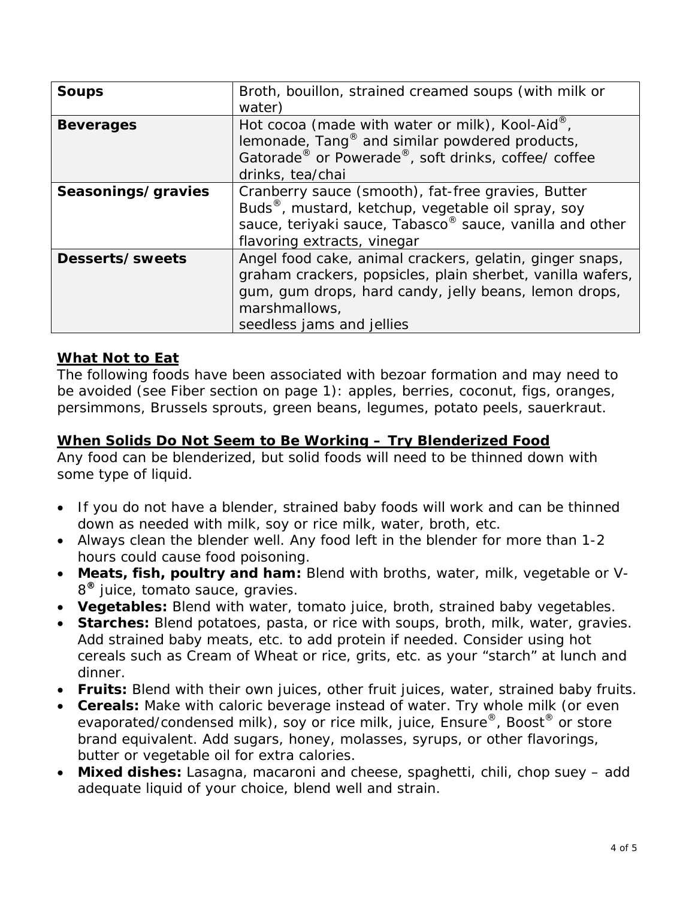| <b>Soups</b>       | Broth, bouillon, strained creamed soups (with milk or<br>water)                                                                                                                                                                |
|--------------------|--------------------------------------------------------------------------------------------------------------------------------------------------------------------------------------------------------------------------------|
| <b>Beverages</b>   | Hot cocoa (made with water or milk), Kool-Aid <sup>®</sup> ,<br>lemonade, Tang <sup>®</sup> and similar powdered products,<br>Gatorade <sup>®</sup> or Powerade <sup>®</sup> , soft drinks, coffee/ coffee<br>drinks, tea/chai |
| Seasonings/gravies | Cranberry sauce (smooth), fat-free gravies, Butter<br>Buds <sup>®</sup> , mustard, ketchup, vegetable oil spray, soy<br>sauce, teriyaki sauce, Tabasco® sauce, vanilla and other<br>flavoring extracts, vinegar                |
| Desserts/sweets    | Angel food cake, animal crackers, gelatin, ginger snaps,<br>graham crackers, popsicles, plain sherbet, vanilla wafers,<br>gum, gum drops, hard candy, jelly beans, lemon drops,<br>marshmallows,<br>seedless jams and jellies  |

### **What Not to Eat**

The following foods have been associated with bezoar formation and may need to be avoided (see Fiber section on page 1): apples, berries, coconut, figs, oranges, persimmons, Brussels sprouts, green beans, legumes, potato peels, sauerkraut.

#### **When Solids Do Not Seem to Be Working – Try Blenderized Food**

Any food can be blenderized, but solid foods will need to be thinned down with some type of liquid.

- If you do not have a blender, strained baby foods will work and can be thinned down as needed with milk, soy or rice milk, water, broth, etc.
- Always clean the blender well. Any food left in the blender for more than 1-2 hours could cause food poisoning.
- **Meats, fish, poultry and ham:** Blend with broths, water, milk, vegetable or V-8**®** juice, tomato sauce, gravies.
- **Vegetables:** Blend with water, tomato juice, broth, strained baby vegetables.
- **Starches:** Blend potatoes, pasta, or rice with soups, broth, milk, water, gravies. Add strained baby meats, etc. to add protein if needed. Consider using hot cereals such as Cream of Wheat or rice, grits, etc. as your "starch" at lunch and dinner.
- **Fruits:** Blend with their own juices, other fruit juices, water, strained baby fruits.
- **Cereals:** Make with caloric beverage instead of water. Try whole milk (or even evaporated/condensed milk), soy or rice milk, juice, Ensure<sup>®</sup>, Boost<sup>®</sup> or store brand equivalent. Add sugars, honey, molasses, syrups, or other flavorings, butter or vegetable oil for extra calories.
- **Mixed dishes:** Lasagna, macaroni and cheese, spaghetti, chili, chop suey add adequate liquid of your choice, blend well and strain.